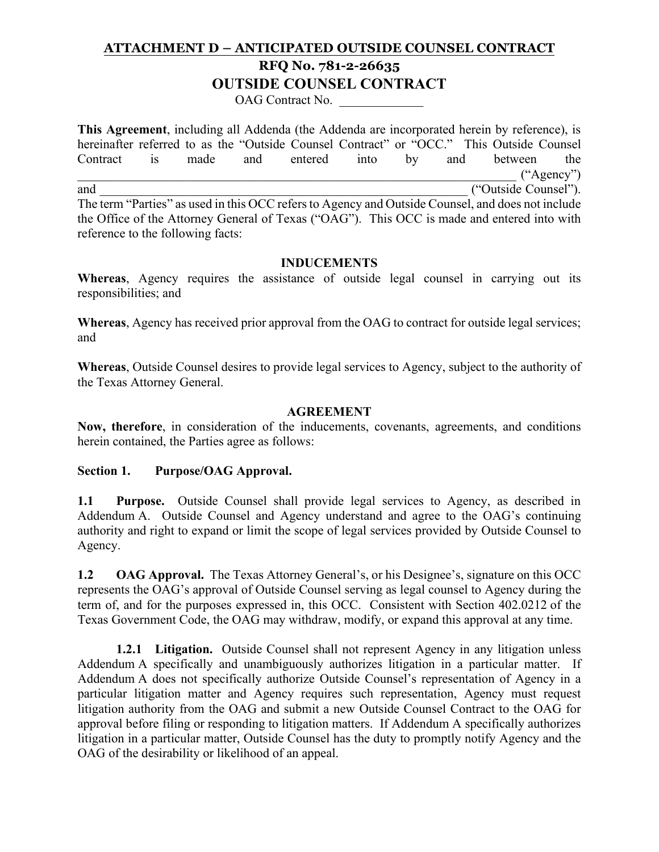## **ATTACHMENT D – ANTICIPATED OUTSIDE COUNSEL CONTRACT RFQ No. 781-2-26635 OUTSIDE COUNSEL CONTRACT**

OAG Contract No.

**This Agreement**, including all Addenda (the Addenda are incorporated herein by reference), is hereinafter referred to as the "Outside Counsel Contract" or "OCC." This Outside Counsel Contract is made and entered into by and between the  $({}^\circ$ Agency") and  $($ "Outside Counsel"). The term "Parties" as used in this OCC refers to Agency and Outside Counsel, and does not include the Office of the Attorney General of Texas ("OAG"). This OCC is made and entered into with reference to the following facts:

#### **INDUCEMENTS**

**Whereas**, Agency requires the assistance of outside legal counsel in carrying out its responsibilities; and

**Whereas**, Agency has received prior approval from the OAG to contract for outside legal services; and

**Whereas**, Outside Counsel desires to provide legal services to Agency, subject to the authority of the Texas Attorney General.

#### **AGREEMENT**

**Now, therefore**, in consideration of the inducements, covenants, agreements, and conditions herein contained, the Parties agree as follows:

#### **Section 1. Purpose/OAG Approval.**

**1.1 Purpose.** Outside Counsel shall provide legal services to Agency, as described in Addendum A. Outside Counsel and Agency understand and agree to the OAG's continuing authority and right to expand or limit the scope of legal services provided by Outside Counsel to Agency.

**1.2** OAG Approval. The Texas Attorney General's, or his Designee's, signature on this OCC represents the OAG's approval of Outside Counsel serving as legal counsel to Agency during the term of, and for the purposes expressed in, this OCC. Consistent with Section 402.0212 of the Texas Government Code, the OAG may withdraw, modify, or expand this approval at any time.

**1.2.1 Litigation.** Outside Counsel shall not represent Agency in any litigation unless Addendum A specifically and unambiguously authorizes litigation in a particular matter. If Addendum A does not specifically authorize Outside Counsel's representation of Agency in a particular litigation matter and Agency requires such representation, Agency must request litigation authority from the OAG and submit a new Outside Counsel Contract to the OAG for approval before filing or responding to litigation matters. If Addendum A specifically authorizes litigation in a particular matter, Outside Counsel has the duty to promptly notify Agency and the OAG of the desirability or likelihood of an appeal.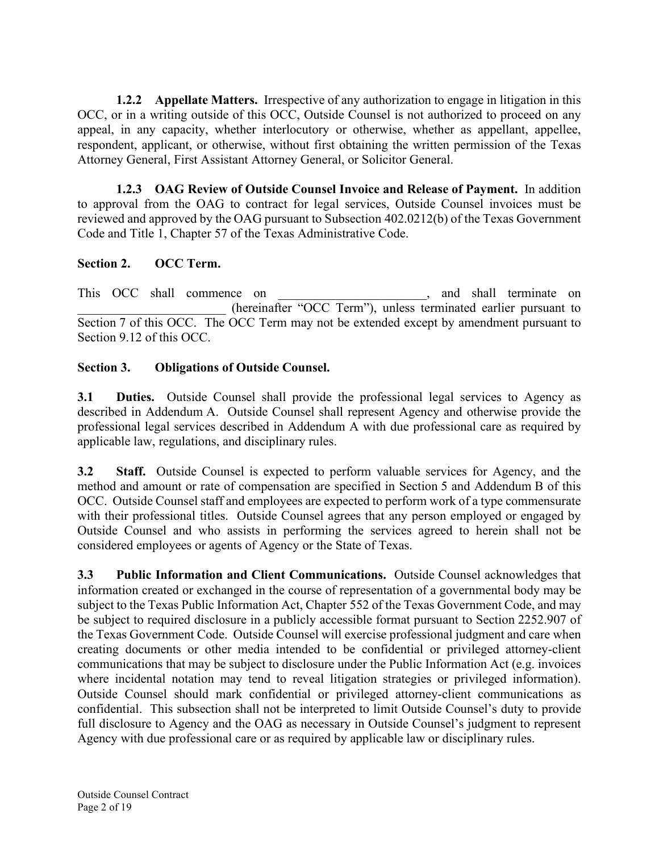**1.2.2 Appellate Matters.** Irrespective of any authorization to engage in litigation in this OCC, or in a writing outside of this OCC, Outside Counsel is not authorized to proceed on any appeal, in any capacity, whether interlocutory or otherwise, whether as appellant, appellee, respondent, applicant, or otherwise, without first obtaining the written permission of the Texas Attorney General, First Assistant Attorney General, or Solicitor General.

**1.2.3 OAG Review of Outside Counsel Invoice and Release of Payment.** In addition to approval from the OAG to contract for legal services, Outside Counsel invoices must be reviewed and approved by the OAG pursuant to Subsection 402.0212(b) of the Texas Government Code and Title 1, Chapter 57 of the Texas Administrative Code.

### **Section 2. OCC Term.**

This OCC shall commence on  $\Box$ , and shall terminate on \_\_\_\_\_\_\_\_\_\_\_\_\_\_\_\_\_\_\_\_\_\_\_ (hereinafter "OCC Term"), unless terminated earlier pursuant to Section 7 of this OCC. The OCC Term may not be extended except by amendment pursuant to Section 9.12 of this OCC.

### **Section 3. Obligations of Outside Counsel.**

**3.1 Duties.** Outside Counsel shall provide the professional legal services to Agency as described in Addendum A. Outside Counsel shall represent Agency and otherwise provide the professional legal services described in Addendum A with due professional care as required by applicable law, regulations, and disciplinary rules.

**3.2 Staff.** Outside Counsel is expected to perform valuable services for Agency, and the method and amount or rate of compensation are specified in Section 5 and Addendum B of this OCC. Outside Counsel staff and employees are expected to perform work of a type commensurate with their professional titles. Outside Counsel agrees that any person employed or engaged by Outside Counsel and who assists in performing the services agreed to herein shall not be considered employees or agents of Agency or the State of Texas.

**3.3 Public Information and Client Communications.** Outside Counsel acknowledges that information created or exchanged in the course of representation of a governmental body may be subject to the Texas Public Information Act, Chapter 552 of the Texas Government Code, and may be subject to required disclosure in a publicly accessible format pursuant to Section 2252.907 of the Texas Government Code. Outside Counsel will exercise professional judgment and care when creating documents or other media intended to be confidential or privileged attorney-client communications that may be subject to disclosure under the Public Information Act (e.g. invoices where incidental notation may tend to reveal litigation strategies or privileged information). Outside Counsel should mark confidential or privileged attorney-client communications as confidential. This subsection shall not be interpreted to limit Outside Counsel's duty to provide full disclosure to Agency and the OAG as necessary in Outside Counsel's judgment to represent Agency with due professional care or as required by applicable law or disciplinary rules.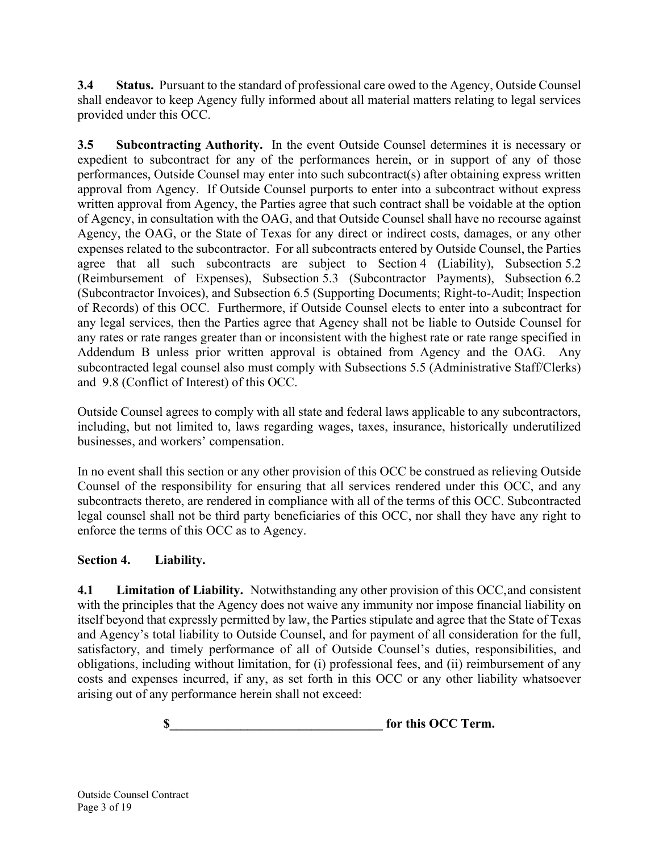**3.4 Status.** Pursuant to the standard of professional care owed to the Agency, Outside Counsel shall endeavor to keep Agency fully informed about all material matters relating to legal services provided under this OCC.

**3.5 Subcontracting Authority.** In the event Outside Counsel determines it is necessary or expedient to subcontract for any of the performances herein, or in support of any of those performances, Outside Counsel may enter into such subcontract(s) after obtaining express written approval from Agency. If Outside Counsel purports to enter into a subcontract without express written approval from Agency, the Parties agree that such contract shall be voidable at the option of Agency, in consultation with the OAG, and that Outside Counsel shall have no recourse against Agency, the OAG, or the State of Texas for any direct or indirect costs, damages, or any other expenses related to the subcontractor. For all subcontracts entered by Outside Counsel, the Parties agree that all such subcontracts are subject to Section 4 (Liability), Subsection 5.2 (Reimbursement of Expenses), Subsection 5.3 (Subcontractor Payments), Subsection 6.2 (Subcontractor Invoices), and Subsection 6.5 (Supporting Documents; Right-to-Audit; Inspection of Records) of this OCC. Furthermore, if Outside Counsel elects to enter into a subcontract for any legal services, then the Parties agree that Agency shall not be liable to Outside Counsel for any rates or rate ranges greater than or inconsistent with the highest rate or rate range specified in Addendum B unless prior written approval is obtained from Agency and the OAG. Any subcontracted legal counsel also must comply with Subsections 5.5 (Administrative Staff/Clerks) and 9.8 (Conflict of Interest) of this OCC.

Outside Counsel agrees to comply with all state and federal laws applicable to any subcontractors, including, but not limited to, laws regarding wages, taxes, insurance, historically underutilized businesses, and workers' compensation.

In no event shall this section or any other provision of this OCC be construed as relieving Outside Counsel of the responsibility for ensuring that all services rendered under this OCC, and any subcontracts thereto, are rendered in compliance with all of the terms of this OCC. Subcontracted legal counsel shall not be third party beneficiaries of this OCC, nor shall they have any right to enforce the terms of this OCC as to Agency.

## **Section 4. Liability.**

**4.1 Limitation of Liability.** Notwithstanding any other provision of this OCC,and consistent with the principles that the Agency does not waive any immunity nor impose financial liability on itself beyond that expressly permitted by law, the Parties stipulate and agree that the State of Texas and Agency's total liability to Outside Counsel, and for payment of all consideration for the full, satisfactory, and timely performance of all of Outside Counsel's duties, responsibilities, and obligations, including without limitation, for (i) professional fees, and (ii) reimbursement of any costs and expenses incurred, if any, as set forth in this OCC or any other liability whatsoever arising out of any performance herein shall not exceed:

**s** for this OCC Term.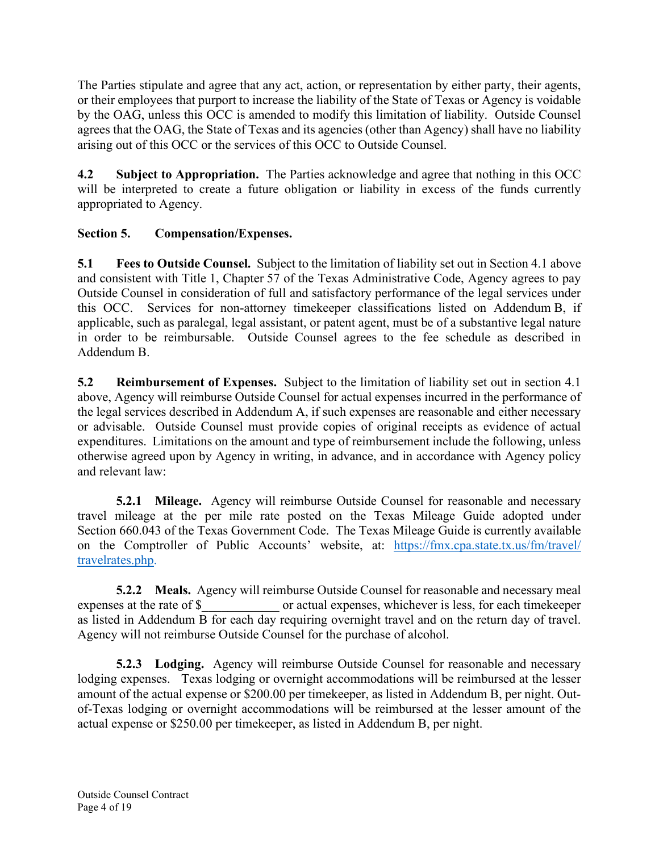The Parties stipulate and agree that any act, action, or representation by either party, their agents, or their employees that purport to increase the liability of the State of Texas or Agency is voidable by the OAG, unless this OCC is amended to modify this limitation of liability. Outside Counsel agrees that the OAG, the State of Texas and its agencies (other than Agency) shall have no liability arising out of this OCC or the services of this OCC to Outside Counsel.

**4.2 Subject to Appropriation.** The Parties acknowledge and agree that nothing in this OCC will be interpreted to create a future obligation or liability in excess of the funds currently appropriated to Agency.

## **Section 5. Compensation/Expenses.**

**5.1 Fees to Outside Counsel.** Subject to the limitation of liability set out in Section 4.1 above and consistent with Title 1, Chapter 57 of the Texas Administrative Code, Agency agrees to pay Outside Counsel in consideration of full and satisfactory performance of the legal services under this OCC. Services for non-attorney timekeeper classifications listed on Addendum B, if applicable, such as paralegal, legal assistant, or patent agent, must be of a substantive legal nature in order to be reimbursable. Outside Counsel agrees to the fee schedule as described in Addendum B.

**5.2 Reimbursement of Expenses.** Subject to the limitation of liability set out in section 4.1 above, Agency will reimburse Outside Counsel for actual expenses incurred in the performance of the legal services described in Addendum A, if such expenses are reasonable and either necessary or advisable. Outside Counsel must provide copies of original receipts as evidence of actual expenditures. Limitations on the amount and type of reimbursement include the following, unless otherwise agreed upon by Agency in writing, in advance, and in accordance with Agency policy and relevant law:

**5.2.1 Mileage.** Agency will reimburse Outside Counsel for reasonable and necessary travel mileage at the per mile rate posted on the Texas Mileage Guide adopted under Section 660.043 of the Texas Government Code. The Texas Mileage Guide is currently available on the Comptroller of Public Accounts' website, at: [https://fmx.cpa.state.tx.us/fm/travel/](https://fmx.cpa.state.tx.us/fm/travel/travelrates.php)  [travelrates.php.](https://fmx.cpa.state.tx.us/fm/travel/travelrates.php)

**5.2.2 Meals.** Agency will reimburse Outside Counsel for reasonable and necessary meal expenses at the rate of \$ or actual expenses, whichever is less. for each time keeper or actual expenses, whichever is less, for each timekeeper as listed in Addendum B for each day requiring overnight travel and on the return day of travel. Agency will not reimburse Outside Counsel for the purchase of alcohol.

**5.2.3 Lodging.** Agency will reimburse Outside Counsel for reasonable and necessary lodging expenses. Texas lodging or overnight accommodations will be reimbursed at the lesser amount of the actual expense or \$200.00 per timekeeper, as listed in Addendum B, per night. Outof-Texas lodging or overnight accommodations will be reimbursed at the lesser amount of the actual expense or \$250.00 per timekeeper, as listed in Addendum B, per night.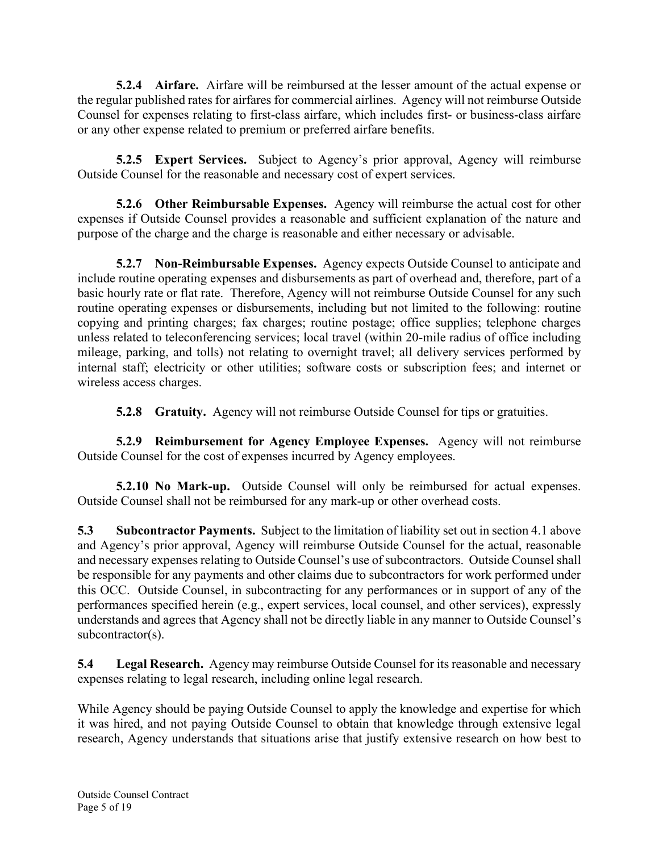**5.2.4 Airfare.** Airfare will be reimbursed at the lesser amount of the actual expense or the regular published rates for airfares for commercial airlines. Agency will not reimburse Outside Counsel for expenses relating to first-class airfare, which includes first- or business-class airfare or any other expense related to premium or preferred airfare benefits.

**5.2.5 Expert Services.** Subject to Agency's prior approval, Agency will reimburse Outside Counsel for the reasonable and necessary cost of expert services.

**5.2.6 Other Reimbursable Expenses.** Agency will reimburse the actual cost for other expenses if Outside Counsel provides a reasonable and sufficient explanation of the nature and purpose of the charge and the charge is reasonable and either necessary or advisable.

**5.2.7 Non-Reimbursable Expenses.** Agency expects Outside Counsel to anticipate and include routine operating expenses and disbursements as part of overhead and, therefore, part of a basic hourly rate or flat rate. Therefore, Agency will not reimburse Outside Counsel for any such routine operating expenses or disbursements, including but not limited to the following: routine copying and printing charges; fax charges; routine postage; office supplies; telephone charges unless related to teleconferencing services; local travel (within 20-mile radius of office including mileage, parking, and tolls) not relating to overnight travel; all delivery services performed by internal staff; electricity or other utilities; software costs or subscription fees; and internet or wireless access charges.

**5.2.8 Gratuity.** Agency will not reimburse Outside Counsel for tips or gratuities.

**5.2.9 Reimbursement for Agency Employee Expenses.** Agency will not reimburse Outside Counsel for the cost of expenses incurred by Agency employees.

**5.2.10 No Mark-up.** Outside Counsel will only be reimbursed for actual expenses. Outside Counsel shall not be reimbursed for any mark-up or other overhead costs.

**5.3 Subcontractor Payments.** Subject to the limitation of liability set out in section 4.1 above and Agency's prior approval, Agency will reimburse Outside Counsel for the actual, reasonable and necessary expenses relating to Outside Counsel's use of subcontractors. Outside Counsel shall be responsible for any payments and other claims due to subcontractors for work performed under this OCC. Outside Counsel, in subcontracting for any performances or in support of any of the performances specified herein (e.g., expert services, local counsel, and other services), expressly understands and agrees that Agency shall not be directly liable in any manner to Outside Counsel's subcontractor(s).

**5.4 Legal Research.** Agency may reimburse Outside Counsel for its reasonable and necessary expenses relating to legal research, including online legal research.

While Agency should be paying Outside Counsel to apply the knowledge and expertise for which it was hired, and not paying Outside Counsel to obtain that knowledge through extensive legal research, Agency understands that situations arise that justify extensive research on how best to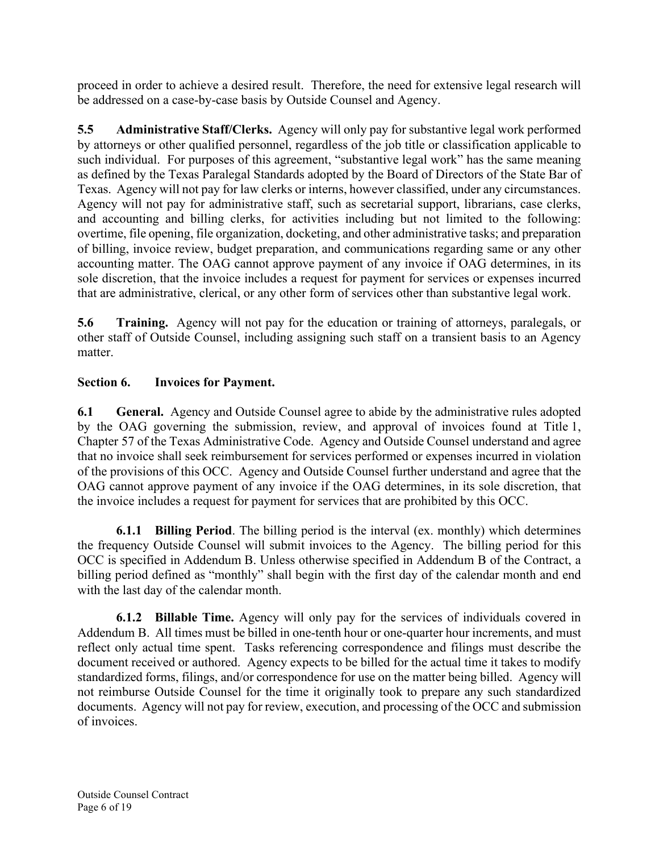proceed in order to achieve a desired result. Therefore, the need for extensive legal research will be addressed on a case-by-case basis by Outside Counsel and Agency.

**5.5 Administrative Staff/Clerks.** Agency will only pay for substantive legal work performed by attorneys or other qualified personnel, regardless of the job title or classification applicable to such individual. For purposes of this agreement, "substantive legal work" has the same meaning as defined by the Texas Paralegal Standards adopted by the Board of Directors of the State Bar of Texas. Agency will not pay for law clerks or interns, however classified, under any circumstances. Agency will not pay for administrative staff, such as secretarial support, librarians, case clerks, and accounting and billing clerks, for activities including but not limited to the following: overtime, file opening, file organization, docketing, and other administrative tasks; and preparation of billing, invoice review, budget preparation, and communications regarding same or any other accounting matter. The OAG cannot approve payment of any invoice if OAG determines, in its sole discretion, that the invoice includes a request for payment for services or expenses incurred that are administrative, clerical, or any other form of services other than substantive legal work.

**5.6 Training.** Agency will not pay for the education or training of attorneys, paralegals, or other staff of Outside Counsel, including assigning such staff on a transient basis to an Agency matter.

## **Section 6. Invoices for Payment.**

**6.1 General.** Agency and Outside Counsel agree to abide by the administrative rules adopted by the OAG governing the submission, review, and approval of invoices found at Title 1, Chapter 57 of the Texas Administrative Code. Agency and Outside Counsel understand and agree that no invoice shall seek reimbursement for services performed or expenses incurred in violation of the provisions of this OCC. Agency and Outside Counsel further understand and agree that the OAG cannot approve payment of any invoice if the OAG determines, in its sole discretion, that the invoice includes a request for payment for services that are prohibited by this OCC.

**6.1.1 Billing Period**. The billing period is the interval (ex. monthly) which determines the frequency Outside Counsel will submit invoices to the Agency. The billing period for this OCC is specified in Addendum B. Unless otherwise specified in Addendum B of the Contract, a billing period defined as "monthly" shall begin with the first day of the calendar month and end with the last day of the calendar month.

**6.1.2 Billable Time.** Agency will only pay for the services of individuals covered in Addendum B. All times must be billed in one-tenth hour or one-quarter hour increments, and must reflect only actual time spent. Tasks referencing correspondence and filings must describe the document received or authored. Agency expects to be billed for the actual time it takes to modify standardized forms, filings, and/or correspondence for use on the matter being billed. Agency will not reimburse Outside Counsel for the time it originally took to prepare any such standardized documents. Agency will not pay for review, execution, and processing of the OCC and submission of invoices.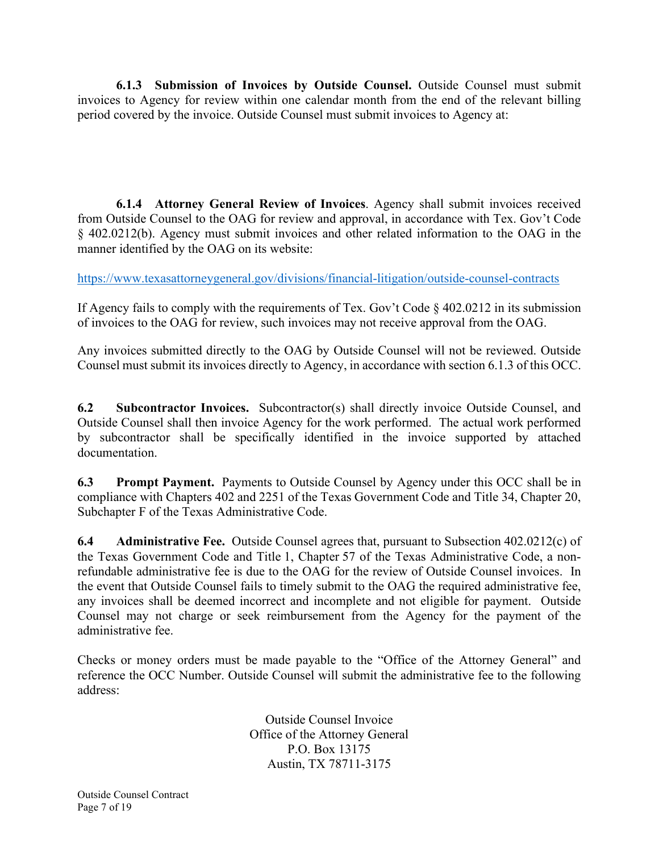**6.1.3 Submission of Invoices by Outside Counsel.** Outside Counsel must submit invoices to Agency for review within one calendar month from the end of the relevant billing period covered by the invoice. Outside Counsel must submit invoices to Agency at:

**6.1.4 Attorney General Review of Invoices**. Agency shall submit invoices received from Outside Counsel to the OAG for review and approval, in accordance with Tex. Gov't Code § 402.0212(b). Agency must submit invoices and other related information to the OAG in the manner identified by the OAG on its website:

<https://www.texasattorneygeneral.gov/divisions/financial-litigation/outside-counsel-contracts>

If Agency fails to comply with the requirements of Tex. Gov't Code § 402.0212 in its submission of invoices to the OAG for review, such invoices may not receive approval from the OAG.

Any invoices submitted directly to the OAG by Outside Counsel will not be reviewed. Outside Counsel must submit its invoices directly to Agency, in accordance with section 6.1.3 of this OCC.

**6.2 Subcontractor Invoices.** Subcontractor(s) shall directly invoice Outside Counsel, and Outside Counsel shall then invoice Agency for the work performed. The actual work performed by subcontractor shall be specifically identified in the invoice supported by attached documentation.

**6.3 Prompt Payment.** Payments to Outside Counsel by Agency under this OCC shall be in compliance with Chapters 402 and 2251 of the Texas Government Code and Title 34, Chapter 20, Subchapter F of the Texas Administrative Code.

**6.4 Administrative Fee.** Outside Counsel agrees that, pursuant to Subsection 402.0212(c) of the Texas Government Code and Title 1, Chapter 57 of the Texas Administrative Code, a nonrefundable administrative fee is due to the OAG for the review of Outside Counsel invoices. In the event that Outside Counsel fails to timely submit to the OAG the required administrative fee, any invoices shall be deemed incorrect and incomplete and not eligible for payment. Outside Counsel may not charge or seek reimbursement from the Agency for the payment of the administrative fee.

Checks or money orders must be made payable to the "Office of the Attorney General" and reference the OCC Number. Outside Counsel will submit the administrative fee to the following address:

> Outside Counsel Invoice Office of the Attorney General P.O. Box 13175 Austin, TX 78711-3175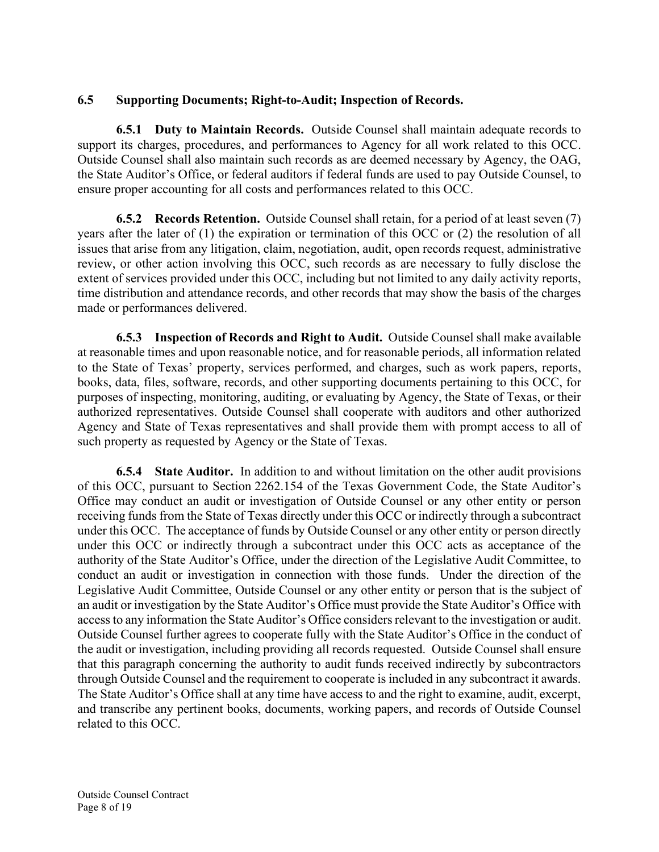#### **6.5 Supporting Documents; Right-to-Audit; Inspection of Records.**

**6.5.1 Duty to Maintain Records.** Outside Counsel shall maintain adequate records to support its charges, procedures, and performances to Agency for all work related to this OCC. Outside Counsel shall also maintain such records as are deemed necessary by Agency, the OAG, the State Auditor's Office, or federal auditors if federal funds are used to pay Outside Counsel, to ensure proper accounting for all costs and performances related to this OCC.

**6.5.2 Records Retention.** Outside Counsel shall retain, for a period of at least seven (7) years after the later of (1) the expiration or termination of this OCC or (2) the resolution of all issues that arise from any litigation, claim, negotiation, audit, open records request, administrative review, or other action involving this OCC, such records as are necessary to fully disclose the extent of services provided under this OCC, including but not limited to any daily activity reports, time distribution and attendance records, and other records that may show the basis of the charges made or performances delivered.

**6.5.3 Inspection of Records and Right to Audit.** Outside Counsel shall make available at reasonable times and upon reasonable notice, and for reasonable periods, all information related to the State of Texas' property, services performed, and charges, such as work papers, reports, books, data, files, software, records, and other supporting documents pertaining to this OCC, for purposes of inspecting, monitoring, auditing, or evaluating by Agency, the State of Texas, or their authorized representatives. Outside Counsel shall cooperate with auditors and other authorized Agency and State of Texas representatives and shall provide them with prompt access to all of such property as requested by Agency or the State of Texas.

**6.5.4 State Auditor.** In addition to and without limitation on the other audit provisions of this OCC, pursuant to Section 2262.154 of the Texas Government Code, the State Auditor's Office may conduct an audit or investigation of Outside Counsel or any other entity or person receiving funds from the State of Texas directly under this OCC or indirectly through a subcontract under this OCC. The acceptance of funds by Outside Counsel or any other entity or person directly under this OCC or indirectly through a subcontract under this OCC acts as acceptance of the authority of the State Auditor's Office, under the direction of the Legislative Audit Committee, to conduct an audit or investigation in connection with those funds. Under the direction of the Legislative Audit Committee, Outside Counsel or any other entity or person that is the subject of an audit or investigation by the State Auditor's Office must provide the State Auditor's Office with access to any information the State Auditor's Office considers relevant to the investigation or audit. Outside Counsel further agrees to cooperate fully with the State Auditor's Office in the conduct of the audit or investigation, including providing all records requested. Outside Counsel shall ensure that this paragraph concerning the authority to audit funds received indirectly by subcontractors through Outside Counsel and the requirement to cooperate is included in any subcontract it awards. The State Auditor's Office shall at any time have access to and the right to examine, audit, excerpt, and transcribe any pertinent books, documents, working papers, and records of Outside Counsel related to this OCC.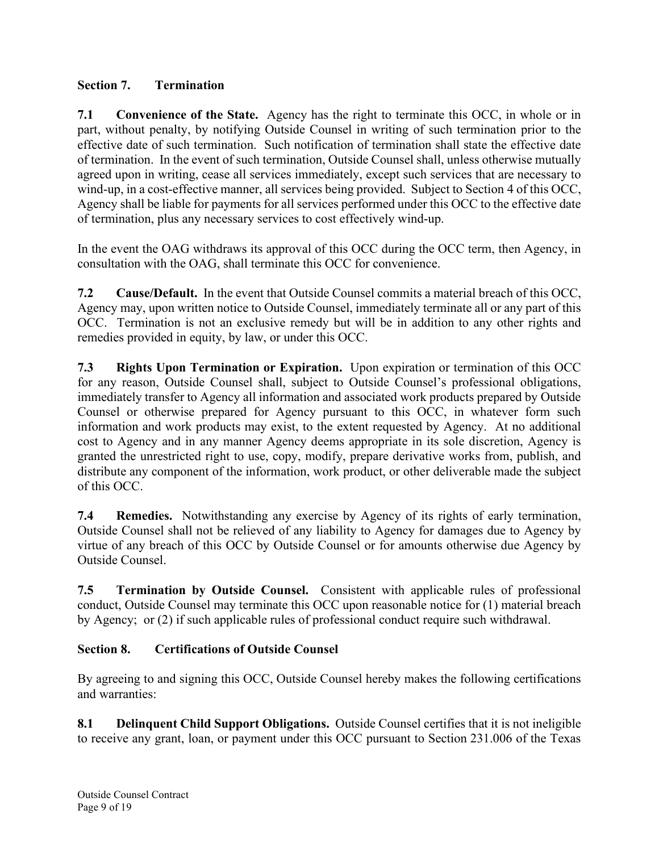## **Section 7. Termination**

**7.1 Convenience of the State.** Agency has the right to terminate this OCC, in whole or in part, without penalty, by notifying Outside Counsel in writing of such termination prior to the effective date of such termination. Such notification of termination shall state the effective date of termination. In the event of such termination, Outside Counsel shall, unless otherwise mutually agreed upon in writing, cease all services immediately, except such services that are necessary to wind-up, in a cost-effective manner, all services being provided. Subject to Section 4 of this OCC, Agency shall be liable for payments for all services performed under this OCC to the effective date of termination, plus any necessary services to cost effectively wind-up.

In the event the OAG withdraws its approval of this OCC during the OCC term, then Agency, in consultation with the OAG, shall terminate this OCC for convenience.

**7.2 Cause/Default.** In the event that Outside Counsel commits a material breach of this OCC, Agency may, upon written notice to Outside Counsel, immediately terminate all or any part of this OCC. Termination is not an exclusive remedy but will be in addition to any other rights and remedies provided in equity, by law, or under this OCC.

**7.3 Rights Upon Termination or Expiration.** Upon expiration or termination of this OCC for any reason, Outside Counsel shall, subject to Outside Counsel's professional obligations, immediately transfer to Agency all information and associated work products prepared by Outside Counsel or otherwise prepared for Agency pursuant to this OCC, in whatever form such information and work products may exist, to the extent requested by Agency. At no additional cost to Agency and in any manner Agency deems appropriate in its sole discretion, Agency is granted the unrestricted right to use, copy, modify, prepare derivative works from, publish, and distribute any component of the information, work product, or other deliverable made the subject of this OCC.

**7.4 Remedies.** Notwithstanding any exercise by Agency of its rights of early termination, Outside Counsel shall not be relieved of any liability to Agency for damages due to Agency by virtue of any breach of this OCC by Outside Counsel or for amounts otherwise due Agency by Outside Counsel.

**7.5 Termination by Outside Counsel.** Consistent with applicable rules of professional conduct, Outside Counsel may terminate this OCC upon reasonable notice for (1) material breach by Agency; or (2) if such applicable rules of professional conduct require such withdrawal.

## **Section 8. Certifications of Outside Counsel**

By agreeing to and signing this OCC, Outside Counsel hereby makes the following certifications and warranties:

**8.1 Delinquent Child Support Obligations.** Outside Counsel certifies that it is not ineligible to receive any grant, loan, or payment under this OCC pursuant to Section 231.006 of the Texas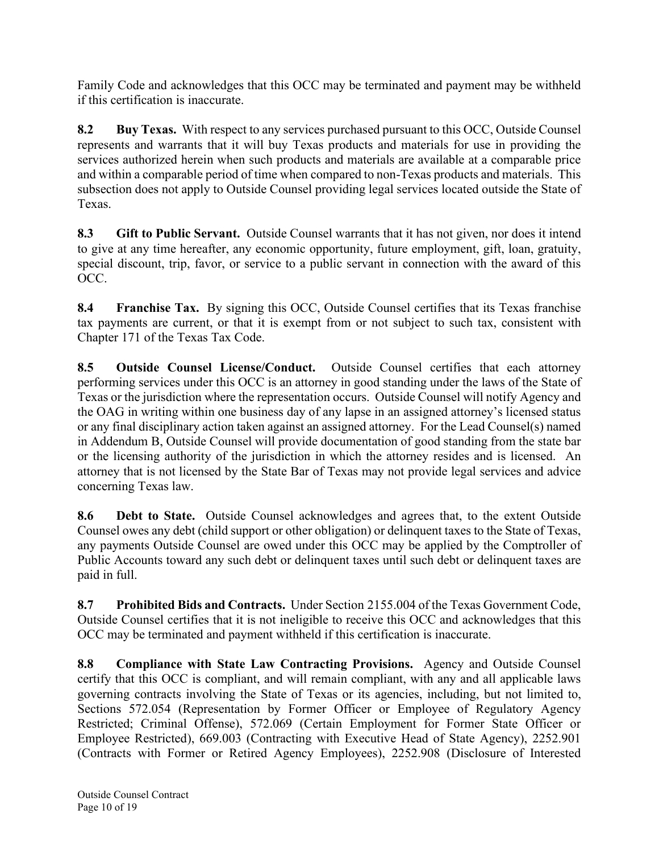Family Code and acknowledges that this OCC may be terminated and payment may be withheld if this certification is inaccurate.

**8.2 Buy Texas.** With respect to any services purchased pursuant to this OCC, Outside Counsel represents and warrants that it will buy Texas products and materials for use in providing the services authorized herein when such products and materials are available at a comparable price and within a comparable period of time when compared to non-Texas products and materials. This subsection does not apply to Outside Counsel providing legal services located outside the State of Texas.

**8.3 Gift to Public Servant.** Outside Counsel warrants that it has not given, nor does it intend to give at any time hereafter, any economic opportunity, future employment, gift, loan, gratuity, special discount, trip, favor, or service to a public servant in connection with the award of this OCC.

**8.4 Franchise Tax.** By signing this OCC, Outside Counsel certifies that its Texas franchise tax payments are current, or that it is exempt from or not subject to such tax, consistent with Chapter 171 of the Texas Tax Code.

**8.5 Outside Counsel License/Conduct.** Outside Counsel certifies that each attorney performing services under this OCC is an attorney in good standing under the laws of the State of Texas or the jurisdiction where the representation occurs. Outside Counsel will notify Agency and the OAG in writing within one business day of any lapse in an assigned attorney's licensed status or any final disciplinary action taken against an assigned attorney. For the Lead Counsel(s) named in Addendum B, Outside Counsel will provide documentation of good standing from the state bar or the licensing authority of the jurisdiction in which the attorney resides and is licensed. An attorney that is not licensed by the State Bar of Texas may not provide legal services and advice concerning Texas law.

**8.6 Debt to State.** Outside Counsel acknowledges and agrees that, to the extent Outside Counsel owes any debt (child support or other obligation) or delinquent taxes to the State of Texas, any payments Outside Counsel are owed under this OCC may be applied by the Comptroller of Public Accounts toward any such debt or delinquent taxes until such debt or delinquent taxes are paid in full.

**8.7 Prohibited Bids and Contracts.** Under Section 2155.004 of the Texas Government Code, Outside Counsel certifies that it is not ineligible to receive this OCC and acknowledges that this OCC may be terminated and payment withheld if this certification is inaccurate.

**8.8 Compliance with State Law Contracting Provisions.** Agency and Outside Counsel certify that this OCC is compliant, and will remain compliant, with any and all applicable laws governing contracts involving the State of Texas or its agencies, including, but not limited to, Sections 572.054 (Representation by Former Officer or Employee of Regulatory Agency Restricted; Criminal Offense), 572.069 (Certain Employment for Former State Officer or Employee Restricted), 669.003 (Contracting with Executive Head of State Agency), 2252.901 (Contracts with Former or Retired Agency Employees), 2252.908 (Disclosure of Interested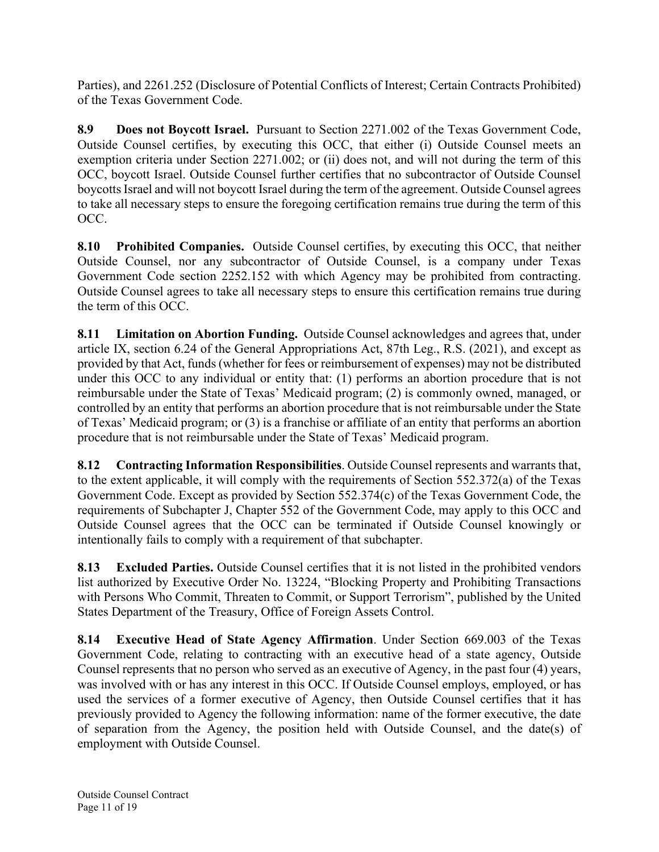Parties), and 2261.252 (Disclosure of Potential Conflicts of Interest; Certain Contracts Prohibited) of the Texas Government Code.

**8.9 Does not Boycott Israel.** Pursuant to Section 2271.002 of the Texas Government Code, Outside Counsel certifies, by executing this OCC, that either (i) Outside Counsel meets an exemption criteria under Section 2271.002; or (ii) does not, and will not during the term of this OCC, boycott Israel. Outside Counsel further certifies that no subcontractor of Outside Counsel boycotts Israel and will not boycott Israel during the term of the agreement. Outside Counsel agrees to take all necessary steps to ensure the foregoing certification remains true during the term of this OCC.

**8.10 Prohibited Companies.** Outside Counsel certifies, by executing this OCC, that neither Outside Counsel, nor any subcontractor of Outside Counsel, is a company under Texas Government Code section 2252.152 with which Agency may be prohibited from contracting. Outside Counsel agrees to take all necessary steps to ensure this certification remains true during the term of this OCC.

**8.11 Limitation on Abortion Funding.** Outside Counsel acknowledges and agrees that, under article IX, section 6.24 of the General Appropriations Act, 87th Leg., R.S. (2021), and except as provided by that Act, funds (whether for fees or reimbursement of expenses) may not be distributed under this OCC to any individual or entity that: (1) performs an abortion procedure that is not reimbursable under the State of Texas' Medicaid program; (2) is commonly owned, managed, or controlled by an entity that performs an abortion procedure that is not reimbursable under the State of Texas' Medicaid program; or (3) is a franchise or affiliate of an entity that performs an abortion procedure that is not reimbursable under the State of Texas' Medicaid program.

**8.12 Contracting Information Responsibilities**. Outside Counsel represents and warrants that, to the extent applicable, it will comply with the requirements of Section 552.372(a) of the Texas Government Code. Except as provided by Section 552.374(c) of the Texas Government Code, the requirements of Subchapter J, Chapter 552 of the Government Code, may apply to this OCC and Outside Counsel agrees that the OCC can be terminated if Outside Counsel knowingly or intentionally fails to comply with a requirement of that subchapter.

**8.13 Excluded Parties.** Outside Counsel certifies that it is not listed in the prohibited vendors list authorized by Executive Order No. 13224, "Blocking Property and Prohibiting Transactions with Persons Who Commit, Threaten to Commit, or Support Terrorism", published by the United States Department of the Treasury, Office of Foreign Assets Control.

**8.14 Executive Head of State Agency Affirmation**. Under Section 669.003 of the Texas Government Code, relating to contracting with an executive head of a state agency, Outside Counsel represents that no person who served as an executive of Agency, in the past four (4) years, was involved with or has any interest in this OCC. If Outside Counsel employs, employed, or has used the services of a former executive of Agency, then Outside Counsel certifies that it has previously provided to Agency the following information: name of the former executive, the date of separation from the Agency, the position held with Outside Counsel, and the date(s) of employment with Outside Counsel.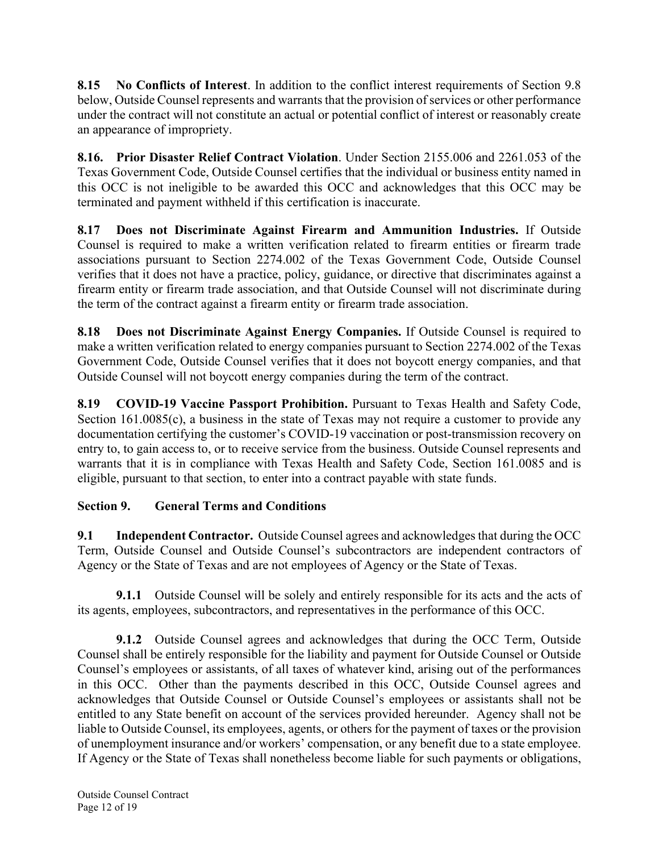**8.15 No Conflicts of Interest**. In addition to the conflict interest requirements of Section 9.8 below, Outside Counsel represents and warrants that the provision of services or other performance under the contract will not constitute an actual or potential conflict of interest or reasonably create an appearance of impropriety.

**8.16. Prior Disaster Relief Contract Violation**. Under Section 2155.006 and 2261.053 of the Texas Government Code, Outside Counsel certifies that the individual or business entity named in this OCC is not ineligible to be awarded this OCC and acknowledges that this OCC may be terminated and payment withheld if this certification is inaccurate.

**8.17 Does not Discriminate Against Firearm and Ammunition Industries.** If Outside Counsel is required to make a written verification related to firearm entities or firearm trade associations pursuant to Section 2274.002 of the Texas Government Code, Outside Counsel verifies that it does not have a practice, policy, guidance, or directive that discriminates against a firearm entity or firearm trade association, and that Outside Counsel will not discriminate during the term of the contract against a firearm entity or firearm trade association.

**8.18 Does not Discriminate Against Energy Companies.** If Outside Counsel is required to make a written verification related to energy companies pursuant to Section 2274.002 of the Texas Government Code, Outside Counsel verifies that it does not boycott energy companies, and that Outside Counsel will not boycott energy companies during the term of the contract.

**8.19 COVID-19 Vaccine Passport Prohibition.** Pursuant to Texas Health and Safety Code, Section 161.0085(c), a business in the state of Texas may not require a customer to provide any documentation certifying the customer's COVID-19 vaccination or post-transmission recovery on entry to, to gain access to, or to receive service from the business. Outside Counsel represents and warrants that it is in compliance with Texas Health and Safety Code, Section 161.0085 and is eligible, pursuant to that section, to enter into a contract payable with state funds.

## **Section 9. General Terms and Conditions**

**9.1 Independent Contractor.** Outside Counsel agrees and acknowledges that during the OCC Term, Outside Counsel and Outside Counsel's subcontractors are independent contractors of Agency or the State of Texas and are not employees of Agency or the State of Texas.

**9.1.1** Outside Counsel will be solely and entirely responsible for its acts and the acts of its agents, employees, subcontractors, and representatives in the performance of this OCC.

**9.1.2** Outside Counsel agrees and acknowledges that during the OCC Term, Outside Counsel shall be entirely responsible for the liability and payment for Outside Counsel or Outside Counsel's employees or assistants, of all taxes of whatever kind, arising out of the performances in this OCC. Other than the payments described in this OCC, Outside Counsel agrees and acknowledges that Outside Counsel or Outside Counsel's employees or assistants shall not be entitled to any State benefit on account of the services provided hereunder. Agency shall not be liable to Outside Counsel, its employees, agents, or others for the payment of taxes or the provision of unemployment insurance and/or workers' compensation, or any benefit due to a state employee. If Agency or the State of Texas shall nonetheless become liable for such payments or obligations,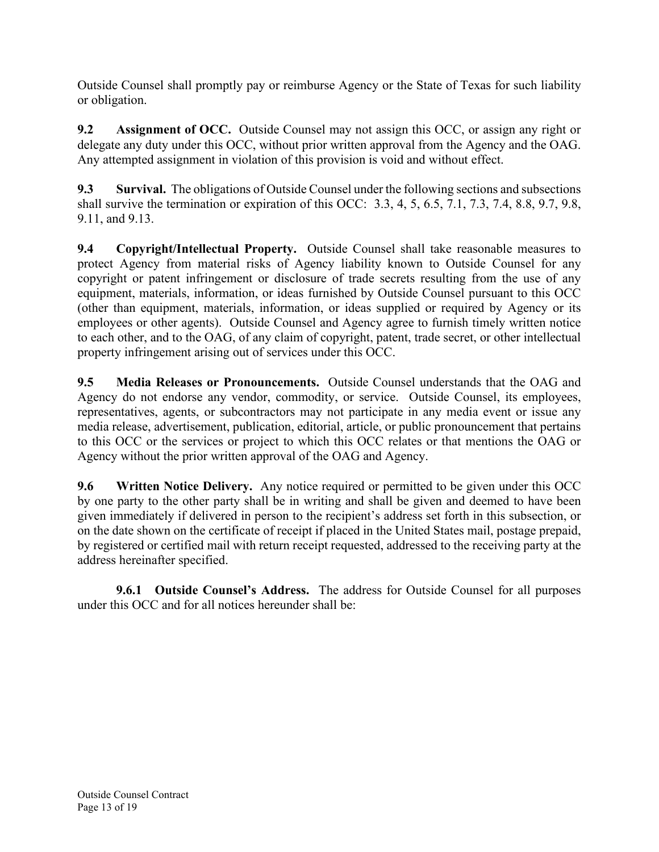Outside Counsel shall promptly pay or reimburse Agency or the State of Texas for such liability or obligation.

**9.2 Assignment of OCC.** Outside Counsel may not assign this OCC, or assign any right or delegate any duty under this OCC, without prior written approval from the Agency and the OAG. Any attempted assignment in violation of this provision is void and without effect.

**9.3 Survival.** The obligations of Outside Counsel under the following sections and subsections shall survive the termination or expiration of this OCC: 3.3, 4, 5, 6.5, 7.1, 7.3, 7.4, 8.8, 9.7, 9.8, 9.11, and 9.13.

**9.4 Copyright/Intellectual Property.** Outside Counsel shall take reasonable measures to protect Agency from material risks of Agency liability known to Outside Counsel for any copyright or patent infringement or disclosure of trade secrets resulting from the use of any equipment, materials, information, or ideas furnished by Outside Counsel pursuant to this OCC (other than equipment, materials, information, or ideas supplied or required by Agency or its employees or other agents). Outside Counsel and Agency agree to furnish timely written notice to each other, and to the OAG, of any claim of copyright, patent, trade secret, or other intellectual property infringement arising out of services under this OCC.

**9.5 Media Releases or Pronouncements.** Outside Counsel understands that the OAG and Agency do not endorse any vendor, commodity, or service. Outside Counsel, its employees, representatives, agents, or subcontractors may not participate in any media event or issue any media release, advertisement, publication, editorial, article, or public pronouncement that pertains to this OCC or the services or project to which this OCC relates or that mentions the OAG or Agency without the prior written approval of the OAG and Agency.

**9.6 Written Notice Delivery.** Any notice required or permitted to be given under this OCC by one party to the other party shall be in writing and shall be given and deemed to have been given immediately if delivered in person to the recipient's address set forth in this subsection, or on the date shown on the certificate of receipt if placed in the United States mail, postage prepaid, by registered or certified mail with return receipt requested, addressed to the receiving party at the address hereinafter specified.

**9.6.1 Outside Counsel's Address.** The address for Outside Counsel for all purposes under this OCC and for all notices hereunder shall be: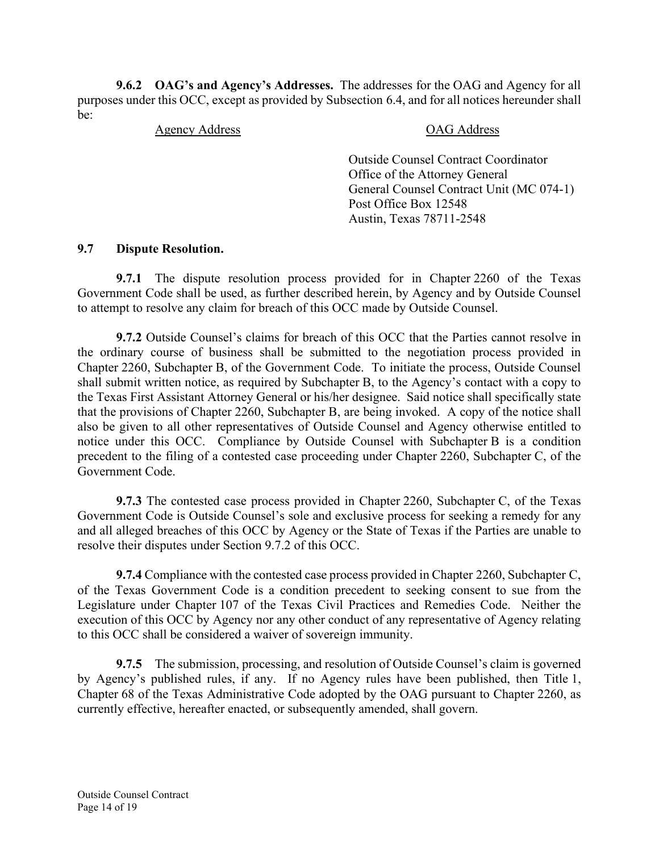**9.6.2 OAG's and Agency's Addresses.** The addresses for the OAG and Agency for all purposes under this OCC, except as provided by Subsection 6.4, and for all notices hereunder shall be:

#### Agency Address OAG Address

Outside Counsel Contract Coordinator Office of the Attorney General General Counsel Contract Unit (MC 074-1) Post Office Box 12548 Austin, Texas 78711-2548

#### **9.7 Dispute Resolution.**

**9.7.1** The dispute resolution process provided for in Chapter 2260 of the Texas Government Code shall be used, as further described herein, by Agency and by Outside Counsel to attempt to resolve any claim for breach of this OCC made by Outside Counsel.

**9.7.2** Outside Counsel's claims for breach of this OCC that the Parties cannot resolve in the ordinary course of business shall be submitted to the negotiation process provided in Chapter 2260, Subchapter B, of the Government Code. To initiate the process, Outside Counsel shall submit written notice, as required by Subchapter B, to the Agency's contact with a copy to the Texas First Assistant Attorney General or his/her designee. Said notice shall specifically state that the provisions of Chapter 2260, Subchapter B, are being invoked. A copy of the notice shall also be given to all other representatives of Outside Counsel and Agency otherwise entitled to notice under this OCC. Compliance by Outside Counsel with Subchapter B is a condition precedent to the filing of a contested case proceeding under Chapter 2260, Subchapter C, of the Government Code.

**9.7.3** The contested case process provided in Chapter 2260, Subchapter C, of the Texas Government Code is Outside Counsel's sole and exclusive process for seeking a remedy for any and all alleged breaches of this OCC by Agency or the State of Texas if the Parties are unable to resolve their disputes under Section 9.7.2 of this OCC.

**9.7.4** Compliance with the contested case process provided in Chapter 2260, Subchapter C, of the Texas Government Code is a condition precedent to seeking consent to sue from the Legislature under Chapter 107 of the Texas Civil Practices and Remedies Code. Neither the execution of this OCC by Agency nor any other conduct of any representative of Agency relating to this OCC shall be considered a waiver of sovereign immunity.

**9.7.5** The submission, processing, and resolution of Outside Counsel's claim is governed by Agency's published rules, if any. If no Agency rules have been published, then Title 1, Chapter 68 of the Texas Administrative Code adopted by the OAG pursuant to Chapter 2260, as currently effective, hereafter enacted, or subsequently amended, shall govern.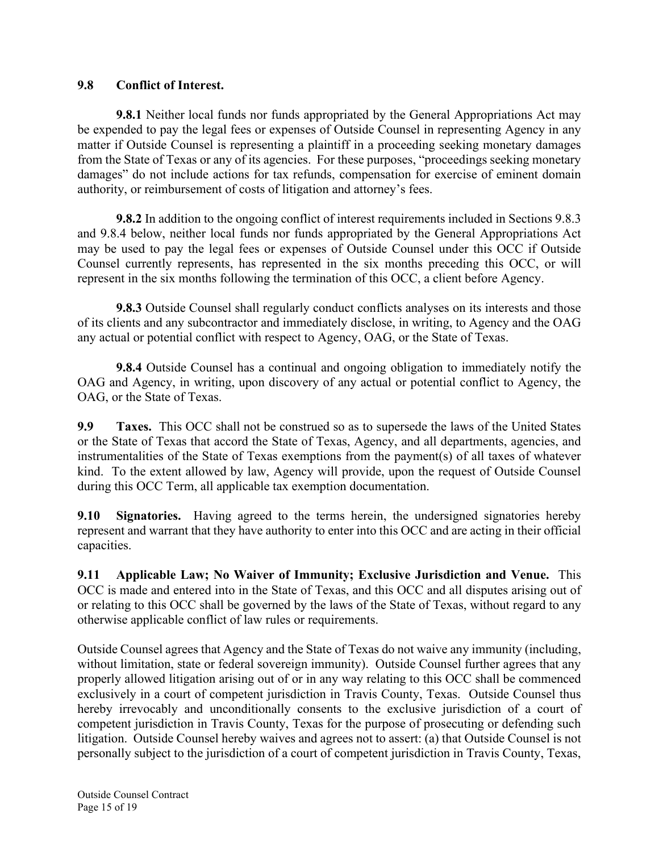#### **9.8 Conflict of Interest.**

**9.8.1** Neither local funds nor funds appropriated by the General Appropriations Act may be expended to pay the legal fees or expenses of Outside Counsel in representing Agency in any matter if Outside Counsel is representing a plaintiff in a proceeding seeking monetary damages from the State of Texas or any of its agencies. For these purposes, "proceedings seeking monetary damages" do not include actions for tax refunds, compensation for exercise of eminent domain authority, or reimbursement of costs of litigation and attorney's fees.

**9.8.2** In addition to the ongoing conflict of interest requirements included in Sections 9.8.3 and 9.8.4 below, neither local funds nor funds appropriated by the General Appropriations Act may be used to pay the legal fees or expenses of Outside Counsel under this OCC if Outside Counsel currently represents, has represented in the six months preceding this OCC, or will represent in the six months following the termination of this OCC, a client before Agency.

**9.8.3** Outside Counsel shall regularly conduct conflicts analyses on its interests and those of its clients and any subcontractor and immediately disclose, in writing, to Agency and the OAG any actual or potential conflict with respect to Agency, OAG, or the State of Texas.

**9.8.4** Outside Counsel has a continual and ongoing obligation to immediately notify the OAG and Agency, in writing, upon discovery of any actual or potential conflict to Agency, the OAG, or the State of Texas.

**9.9 Taxes.** This OCC shall not be construed so as to supersede the laws of the United States or the State of Texas that accord the State of Texas, Agency, and all departments, agencies, and instrumentalities of the State of Texas exemptions from the payment(s) of all taxes of whatever kind. To the extent allowed by law, Agency will provide, upon the request of Outside Counsel during this OCC Term, all applicable tax exemption documentation.

**9.10 Signatories.** Having agreed to the terms herein, the undersigned signatories hereby represent and warrant that they have authority to enter into this OCC and are acting in their official capacities.

**9.11 Applicable Law; No Waiver of Immunity; Exclusive Jurisdiction and Venue.** This OCC is made and entered into in the State of Texas, and this OCC and all disputes arising out of or relating to this OCC shall be governed by the laws of the State of Texas, without regard to any otherwise applicable conflict of law rules or requirements.

Outside Counsel agrees that Agency and the State of Texas do not waive any immunity (including, without limitation, state or federal sovereign immunity). Outside Counsel further agrees that any properly allowed litigation arising out of or in any way relating to this OCC shall be commenced exclusively in a court of competent jurisdiction in Travis County, Texas. Outside Counsel thus hereby irrevocably and unconditionally consents to the exclusive jurisdiction of a court of competent jurisdiction in Travis County, Texas for the purpose of prosecuting or defending such litigation. Outside Counsel hereby waives and agrees not to assert: (a) that Outside Counsel is not personally subject to the jurisdiction of a court of competent jurisdiction in Travis County, Texas,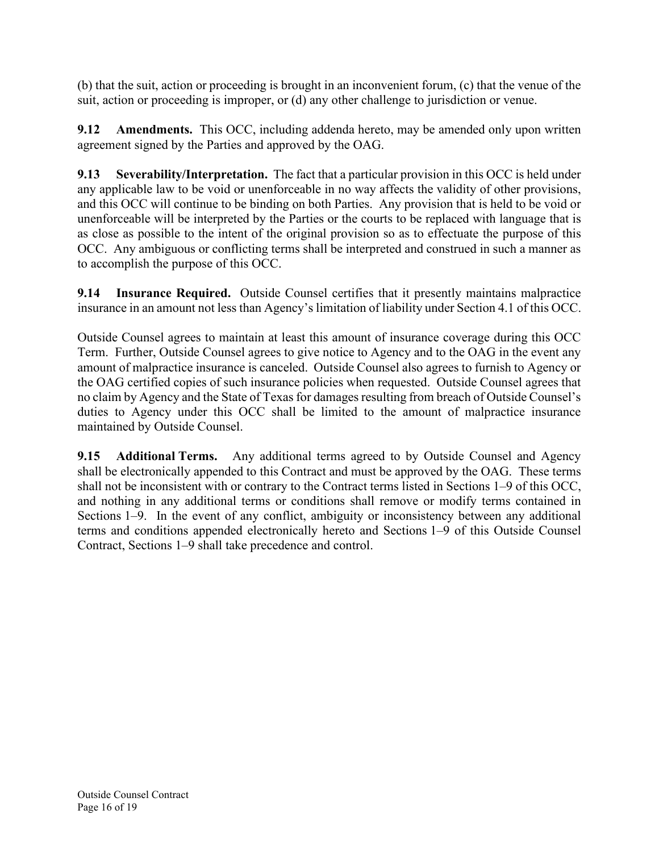(b) that the suit, action or proceeding is brought in an inconvenient forum, (c) that the venue of the suit, action or proceeding is improper, or (d) any other challenge to jurisdiction or venue.

**9.12** Amendments. This OCC, including addenda hereto, may be amended only upon written agreement signed by the Parties and approved by the OAG.

**9.13 Severability/Interpretation.** The fact that a particular provision in this OCC is held under any applicable law to be void or unenforceable in no way affects the validity of other provisions, and this OCC will continue to be binding on both Parties. Any provision that is held to be void or unenforceable will be interpreted by the Parties or the courts to be replaced with language that is as close as possible to the intent of the original provision so as to effectuate the purpose of this OCC. Any ambiguous or conflicting terms shall be interpreted and construed in such a manner as to accomplish the purpose of this OCC.

**9.14 Insurance Required.** Outside Counsel certifies that it presently maintains malpractice insurance in an amount not less than Agency's limitation of liability under Section 4.1 of this OCC.

Outside Counsel agrees to maintain at least this amount of insurance coverage during this OCC Term. Further, Outside Counsel agrees to give notice to Agency and to the OAG in the event any amount of malpractice insurance is canceled. Outside Counsel also agrees to furnish to Agency or the OAG certified copies of such insurance policies when requested. Outside Counsel agrees that no claim by Agency and the State of Texas for damages resulting from breach of Outside Counsel's duties to Agency under this OCC shall be limited to the amount of malpractice insurance maintained by Outside Counsel.

**9.15 Additional Terms.** Any additional terms agreed to by Outside Counsel and Agency shall be electronically appended to this Contract and must be approved by the OAG. These terms shall not be inconsistent with or contrary to the Contract terms listed in Sections 1–9 of this OCC, and nothing in any additional terms or conditions shall remove or modify terms contained in Sections 1–9. In the event of any conflict, ambiguity or inconsistency between any additional terms and conditions appended electronically hereto and Sections 1–9 of this Outside Counsel Contract, Sections 1–9 shall take precedence and control.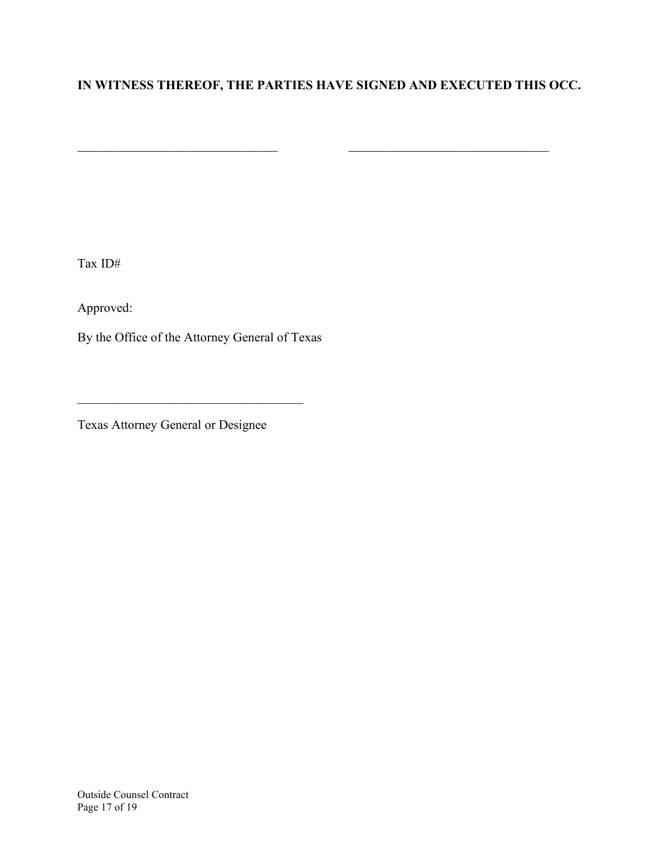## **IN WITNESS THEREOF, THE PARTIES HAVE SIGNED AND EXECUTED THIS OCC.**

 $\overline{\phantom{a}}$  , and the state of  $\overline{\phantom{a}}$  , and  $\overline{\phantom{a}}$  , and  $\overline{\phantom{a}}$  , and  $\overline{\phantom{a}}$ 

Tax ID#

Approved:

By the Office of the Attorney General of Texas

 $\mathcal{L}_\text{max}$  and  $\mathcal{L}_\text{max}$  and  $\mathcal{L}_\text{max}$  and  $\mathcal{L}_\text{max}$ 

Texas Attorney General or Designee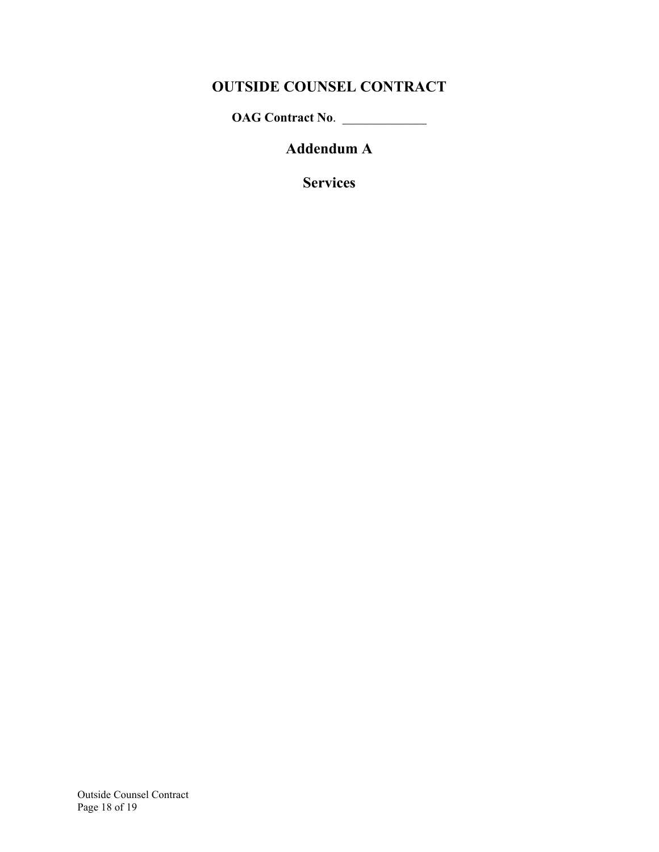# **OUTSIDE COUNSEL CONTRACT**

**OAG Contract No**. \_\_\_\_\_\_\_\_\_\_\_\_\_

**Addendum A** 

**Services**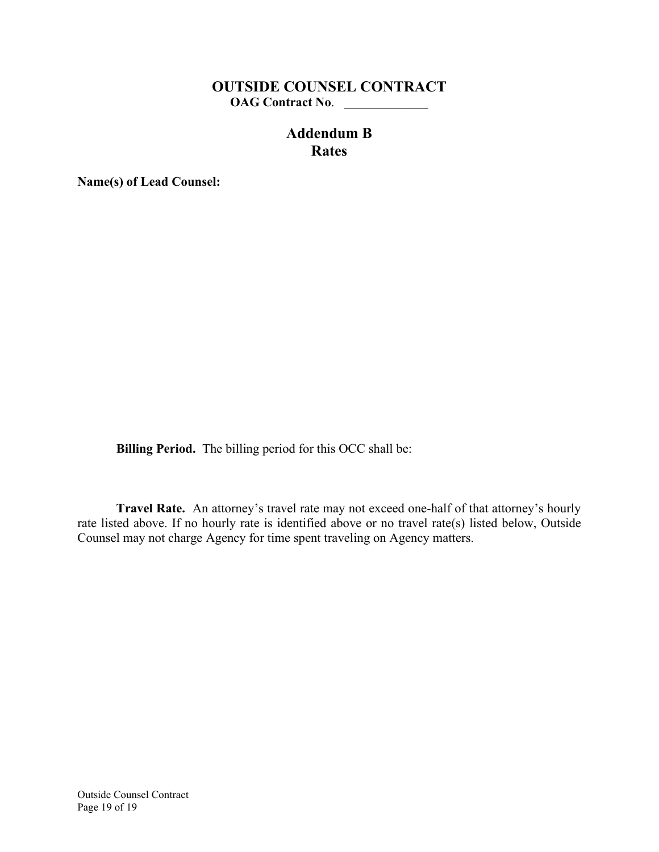## **OUTSIDE COUNSEL CONTRACT OAG Contract No**. \_\_\_\_\_\_\_\_\_\_\_\_\_

## **Addendum B Rates**

**Name(s) of Lead Counsel:** 

**Billing Period.** The billing period for this OCC shall be:

**Travel Rate.** An attorney's travel rate may not exceed one-half of that attorney's hourly rate listed above. If no hourly rate is identified above or no travel rate(s) listed below, Outside Counsel may not charge Agency for time spent traveling on Agency matters.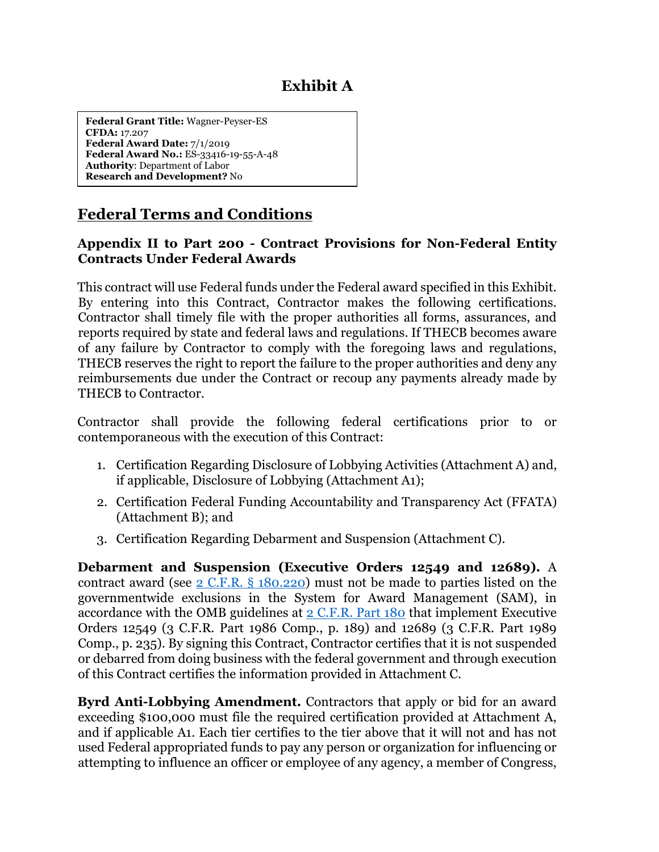# **Exhibit A**

 **CFDA:** 17.207 **Federal Award Date:** 7/1/2019 **Federal Grant Title:** Wagner-Peyser-ES **Federal Award No.:** ES-33416-19-55-A-48 **Authority**: Department of Labor **Research and Development?** No

# **Federal Terms and Conditions**

### **Appendix II to Part 200 - Contract Provisions for Non-Federal Entity Contracts Under Federal Awards**

This contract will use Federal funds under the Federal award specified in this Exhibit. By entering into this Contract, Contractor makes the following certifications. Contractor shall timely file with the proper authorities all forms, assurances, and reports required by state and federal laws and regulations. If THECB becomes aware of any failure by Contractor to comply with the foregoing laws and regulations, THECB reserves the right to report the failure to the proper authorities and deny any reimbursements due under the Contract or recoup any payments already made by THECB to Contractor.

 Contractor shall provide the following federal certifications prior to or contemporaneous with the execution of this Contract:

- 1. Certification Regarding Disclosure of Lobbying Activities (Attachment A) and, if applicable, Disclosure of Lobbying (Attachment A1);
- 2. Certification Federal Funding Accountability and Transparency Act (FFATA) (Attachment B); and
- 3. Certification Regarding Debarment and Suspension (Attachment C).

 Comp., p. 235). By signing this Contract, Contractor certifies that it is not suspended **Debarment and Suspension (Executive Orders 12549 and 12689).** A contract award (see [2 C.F.R. § 180.220\)](https://www.ecfr.gov/current/title-2/subtitle-A/chapter-I/part-180/subpart-B/section-180.220) must not be made to parties listed on the governmentwide exclusions in the System for Award Management (SAM), in accordance with the OMB guidelines at  $2$  C.F.R. Part  $180$  that implement Executive Orders 12549 (3 C.F.R. Part 1986 Comp., p. 189) and 12689 (3 C.F.R. Part 1989 or debarred from doing business with the federal government and through execution of this Contract certifies the information provided in Attachment C.

 and if applicable A1. Each tier certifies to the tier above that it will not and has not used Federal appropriated funds to pay any person or organization for influencing or **Byrd Anti-Lobbying Amendment.** Contractors that apply or bid for an award exceeding \$100,000 must file the required certification provided at Attachment A, attempting to influence an officer or employee of any agency, a member of Congress,